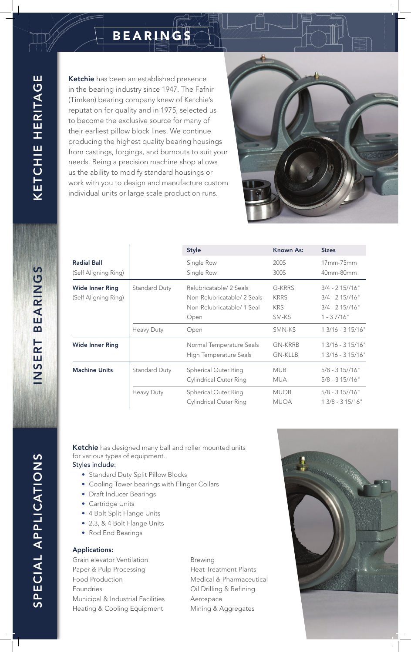## BEARINGS

Ketchie has been an established presence in the bearing industry since 1947. The Fafnir (Timken) bearing company knew of Ketchie's reputation for quality and in 1975, selected us to become the exclusive source for many of their earliest pillow block lines. We continue producing the highest quality bearing housings from castings, forgings, and burnouts to suit your needs. Being a precision machine shop allows us the ability to modify standard housings or work with you to design and manufacture custom individual units or large scale production runs.



|                                                |                             | <b>Style</b>                                                                                       | Known As:                                              | <b>Sizes</b>                                                                               |
|------------------------------------------------|-----------------------------|----------------------------------------------------------------------------------------------------|--------------------------------------------------------|--------------------------------------------------------------------------------------------|
| <b>Radial Ball</b><br>(Self Aligning Ring)     |                             | Single Row<br>Single Row                                                                           | 200S<br>300S                                           | $17mm-75mm$<br>40mm-80mm                                                                   |
| <b>Wide Inner Ring</b><br>(Self Aligning Ring) | Standard Duty<br>Heavy Duty | Relubricatable/ 2 Seals<br>Non-Relubricatable/2 Seals<br>Non-Relubricatable/1 Seal<br>Open<br>Open | G-KRRS<br><b>KRRS</b><br><b>KRS</b><br>SM-KS<br>SMN-KS | $3/4 - 215/16"$<br>$3/4 - 215/16"$<br>$3/4 - 215/16"$<br>$1 - 37/16"$<br>$13/16 - 315/16"$ |
| <b>Wide Inner Ring</b>                         |                             | Normal Temperature Seals<br>High Temperature Seals                                                 | <b>GN-KRRB</b><br><b>GN-KLLB</b>                       | $13/16 - 315/16"$<br>$13/16 - 315/16"$                                                     |
| <b>Machine Units</b>                           | Standard Duty               | Spherical Outer Ring<br><b>Cylindrical Outer Ring</b>                                              | <b>MUB</b><br><b>MUA</b>                               | $5/8 - 315 // 16"$<br>$5/8 - 315 // 16"$                                                   |
|                                                | <b>Heavy Duty</b>           | Spherical Outer Ring<br><b>Cylindrical Outer Ring</b>                                              | <b>MUOB</b><br><b>MUOA</b>                             | $5/8 - 315 // 16"$<br>1 3/8 - 3 15/16"                                                     |

Ketchie has designed many ball and roller mounted units for various types of equipment.

## Styles include:

- Standard Duty Split Pillow Blocks
- Cooling Tower bearings with Flinger Collars
- Draft Inducer Bearings
- Cartridge Units
- 4 Bolt Split Flange Units
- 2,3, & 4 Bolt Flange Units
- Rod End Bearings

## Applications:

Grain elevator Ventilation Paper & Pulp Processing Food Production Foundries Municipal & Industrial Facilities Heating & Cooling Equipment

Brewing Heat Treatment Plants Medical & Pharmaceutical Oil Drilling & Refining Aerospace Mining & Aggregates



INSERT BEARINGS INSERT BEARINGS